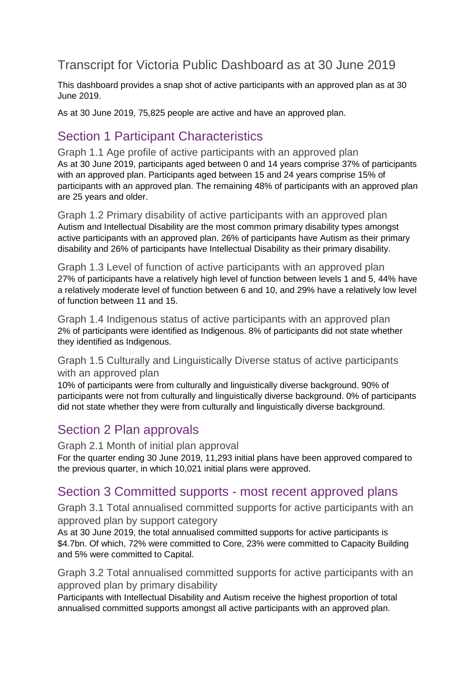## Transcript for Victoria Public Dashboard as at 30 June 2019

This dashboard provides a snap shot of active participants with an approved plan as at 30 June 2019.

As at 30 June 2019, 75,825 people are active and have an approved plan.

## Section 1 Participant Characteristics

Graph 1.1 Age profile of active participants with an approved plan As at 30 June 2019, participants aged between 0 and 14 years comprise 37% of participants with an approved plan. Participants aged between 15 and 24 years comprise 15% of participants with an approved plan. The remaining 48% of participants with an approved plan are 25 years and older.

Graph 1.2 Primary disability of active participants with an approved plan Autism and Intellectual Disability are the most common primary disability types amongst active participants with an approved plan. 26% of participants have Autism as their primary disability and 26% of participants have Intellectual Disability as their primary disability.

Graph 1.3 Level of function of active participants with an approved plan 27% of participants have a relatively high level of function between levels 1 and 5, 44% have a relatively moderate level of function between 6 and 10, and 29% have a relatively low level of function between 11 and 15.

Graph 1.4 Indigenous status of active participants with an approved plan 2% of participants were identified as Indigenous. 8% of participants did not state whether they identified as Indigenous.

Graph 1.5 Culturally and Linguistically Diverse status of active participants with an approved plan

10% of participants were from culturally and linguistically diverse background. 90% of participants were not from culturally and linguistically diverse background. 0% of participants did not state whether they were from culturally and linguistically diverse background.

#### Section 2 Plan approvals

Graph 2.1 Month of initial plan approval

For the quarter ending 30 June 2019, 11,293 initial plans have been approved compared to the previous quarter, in which 10,021 initial plans were approved.

#### Section 3 Committed supports - most recent approved plans

Graph 3.1 Total annualised committed supports for active participants with an approved plan by support category

As at 30 June 2019, the total annualised committed supports for active participants is \$4.7bn. Of which, 72% were committed to Core, 23% were committed to Capacity Building and 5% were committed to Capital.

Graph 3.2 Total annualised committed supports for active participants with an approved plan by primary disability

Participants with Intellectual Disability and Autism receive the highest proportion of total annualised committed supports amongst all active participants with an approved plan.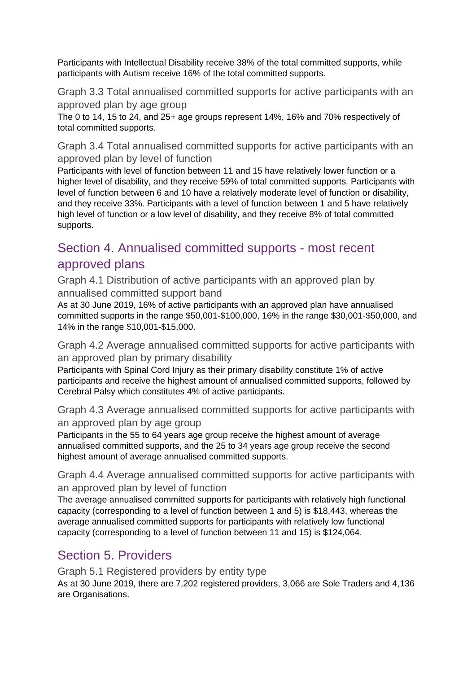Participants with Intellectual Disability receive 38% of the total committed supports, while participants with Autism receive 16% of the total committed supports.

Graph 3.3 Total annualised committed supports for active participants with an approved plan by age group

The 0 to 14, 15 to 24, and 25+ age groups represent 14%, 16% and 70% respectively of total committed supports.

Graph 3.4 Total annualised committed supports for active participants with an approved plan by level of function

Participants with level of function between 11 and 15 have relatively lower function or a higher level of disability, and they receive 59% of total committed supports. Participants with level of function between 6 and 10 have a relatively moderate level of function or disability, and they receive 33%. Participants with a level of function between 1 and 5 have relatively high level of function or a low level of disability, and they receive 8% of total committed supports.

## Section 4. Annualised committed supports - most recent approved plans

Graph 4.1 Distribution of active participants with an approved plan by annualised committed support band

As at 30 June 2019, 16% of active participants with an approved plan have annualised committed supports in the range \$50,001-\$100,000, 16% in the range \$30,001-\$50,000, and 14% in the range \$10,001-\$15,000.

Graph 4.2 Average annualised committed supports for active participants with an approved plan by primary disability

Participants with Spinal Cord Injury as their primary disability constitute 1% of active participants and receive the highest amount of annualised committed supports, followed by Cerebral Palsy which constitutes 4% of active participants.

Graph 4.3 Average annualised committed supports for active participants with an approved plan by age group

Participants in the 55 to 64 years age group receive the highest amount of average annualised committed supports, and the 25 to 34 years age group receive the second highest amount of average annualised committed supports.

Graph 4.4 Average annualised committed supports for active participants with an approved plan by level of function

The average annualised committed supports for participants with relatively high functional capacity (corresponding to a level of function between 1 and 5) is \$18,443, whereas the average annualised committed supports for participants with relatively low functional capacity (corresponding to a level of function between 11 and 15) is \$124,064.

# Section 5. Providers

Graph 5.1 Registered providers by entity type

As at 30 June 2019, there are 7,202 registered providers, 3,066 are Sole Traders and 4,136 are Organisations.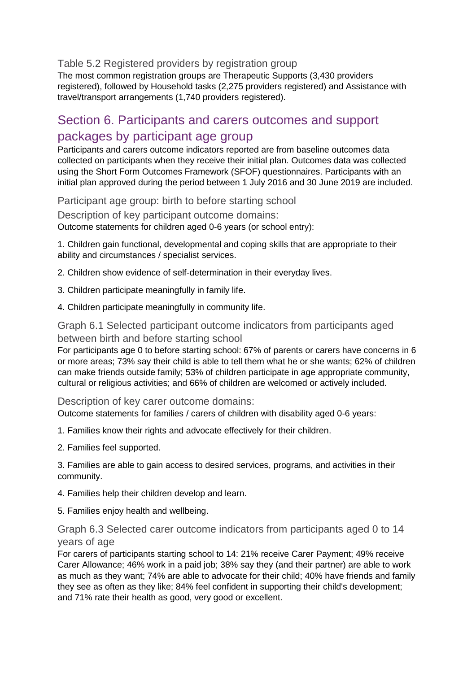Table 5.2 Registered providers by registration group

The most common registration groups are Therapeutic Supports (3,430 providers registered), followed by Household tasks (2,275 providers registered) and Assistance with travel/transport arrangements (1,740 providers registered).

### Section 6. Participants and carers outcomes and support packages by participant age group

Participants and carers outcome indicators reported are from baseline outcomes data collected on participants when they receive their initial plan. Outcomes data was collected using the Short Form Outcomes Framework (SFOF) questionnaires. Participants with an initial plan approved during the period between 1 July 2016 and 30 June 2019 are included.

Participant age group: birth to before starting school

Description of key participant outcome domains: Outcome statements for children aged 0-6 years (or school entry):

1. Children gain functional, developmental and coping skills that are appropriate to their ability and circumstances / specialist services.

2. Children show evidence of self-determination in their everyday lives.

- 3. Children participate meaningfully in family life.
- 4. Children participate meaningfully in community life.

Graph 6.1 Selected participant outcome indicators from participants aged between birth and before starting school

For participants age 0 to before starting school: 67% of parents or carers have concerns in 6 or more areas; 73% say their child is able to tell them what he or she wants; 62% of children can make friends outside family; 53% of children participate in age appropriate community, cultural or religious activities; and 66% of children are welcomed or actively included.

Description of key carer outcome domains:

Outcome statements for families / carers of children with disability aged 0-6 years:

- 1. Families know their rights and advocate effectively for their children.
- 2. Families feel supported.

3. Families are able to gain access to desired services, programs, and activities in their community.

- 4. Families help their children develop and learn.
- 5. Families enjoy health and wellbeing.

#### Graph 6.3 Selected carer outcome indicators from participants aged 0 to 14 years of age

For carers of participants starting school to 14: 21% receive Carer Payment; 49% receive Carer Allowance; 46% work in a paid job; 38% say they (and their partner) are able to work as much as they want; 74% are able to advocate for their child; 40% have friends and family they see as often as they like; 84% feel confident in supporting their child's development; and 71% rate their health as good, very good or excellent.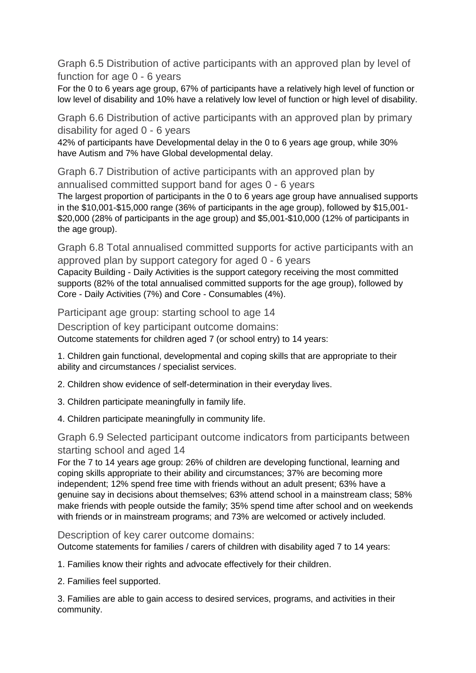Graph 6.5 Distribution of active participants with an approved plan by level of function for age 0 - 6 years

For the 0 to 6 years age group, 67% of participants have a relatively high level of function or low level of disability and 10% have a relatively low level of function or high level of disability.

Graph 6.6 Distribution of active participants with an approved plan by primary disability for aged 0 - 6 years

42% of participants have Developmental delay in the 0 to 6 years age group, while 30% have Autism and 7% have Global developmental delay.

Graph 6.7 Distribution of active participants with an approved plan by annualised committed support band for ages 0 - 6 years

The largest proportion of participants in the 0 to 6 years age group have annualised supports in the \$10,001-\$15,000 range (36% of participants in the age group), followed by \$15,001- \$20,000 (28% of participants in the age group) and \$5,001-\$10,000 (12% of participants in the age group).

Graph 6.8 Total annualised committed supports for active participants with an approved plan by support category for aged 0 - 6 years

Capacity Building - Daily Activities is the support category receiving the most committed supports (82% of the total annualised committed supports for the age group), followed by Core - Daily Activities (7%) and Core - Consumables (4%).

Participant age group: starting school to age 14

Description of key participant outcome domains: Outcome statements for children aged 7 (or school entry) to 14 years:

1. Children gain functional, developmental and coping skills that are appropriate to their ability and circumstances / specialist services.

2. Children show evidence of self-determination in their everyday lives.

- 3. Children participate meaningfully in family life.
- 4. Children participate meaningfully in community life.

#### Graph 6.9 Selected participant outcome indicators from participants between starting school and aged 14

For the 7 to 14 years age group: 26% of children are developing functional, learning and coping skills appropriate to their ability and circumstances; 37% are becoming more independent; 12% spend free time with friends without an adult present; 63% have a genuine say in decisions about themselves; 63% attend school in a mainstream class; 58% make friends with people outside the family; 35% spend time after school and on weekends with friends or in mainstream programs; and 73% are welcomed or actively included.

Description of key carer outcome domains:

Outcome statements for families / carers of children with disability aged 7 to 14 years:

1. Families know their rights and advocate effectively for their children.

2. Families feel supported.

3. Families are able to gain access to desired services, programs, and activities in their community.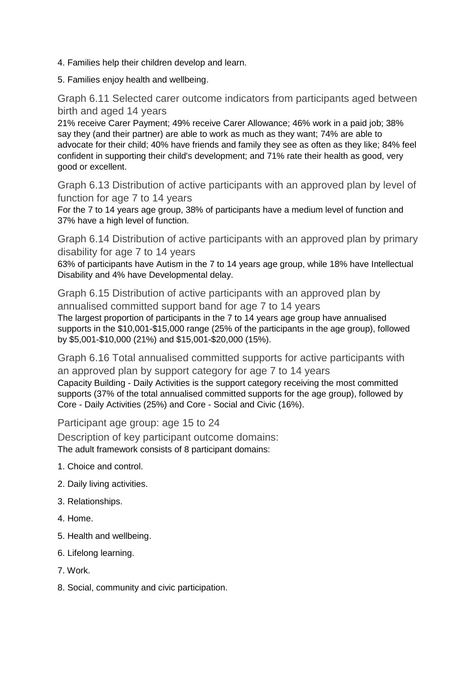- 4. Families help their children develop and learn.
- 5. Families enjoy health and wellbeing.

Graph 6.11 Selected carer outcome indicators from participants aged between birth and aged 14 years

21% receive Carer Payment; 49% receive Carer Allowance; 46% work in a paid job; 38% say they (and their partner) are able to work as much as they want; 74% are able to advocate for their child; 40% have friends and family they see as often as they like; 84% feel confident in supporting their child's development; and 71% rate their health as good, very good or excellent.

Graph 6.13 Distribution of active participants with an approved plan by level of function for age 7 to 14 years

For the 7 to 14 years age group, 38% of participants have a medium level of function and 37% have a high level of function.

Graph 6.14 Distribution of active participants with an approved plan by primary disability for age 7 to 14 years

63% of participants have Autism in the 7 to 14 years age group, while 18% have Intellectual Disability and 4% have Developmental delay.

Graph 6.15 Distribution of active participants with an approved plan by annualised committed support band for age 7 to 14 years The largest proportion of participants in the 7 to 14 years age group have annualised supports in the \$10,001-\$15,000 range (25% of the participants in the age group), followed by \$5,001-\$10,000 (21%) and \$15,001-\$20,000 (15%).

Graph 6.16 Total annualised committed supports for active participants with an approved plan by support category for age 7 to 14 years Capacity Building - Daily Activities is the support category receiving the most committed supports (37% of the total annualised committed supports for the age group), followed by

Participant age group: age 15 to 24

Description of key participant outcome domains: The adult framework consists of 8 participant domains:

Core - Daily Activities (25%) and Core - Social and Civic (16%).

- 1. Choice and control.
- 2. Daily living activities.
- 3. Relationships.
- 4. Home.
- 5. Health and wellbeing.
- 6. Lifelong learning.
- 7. Work.
- 8. Social, community and civic participation.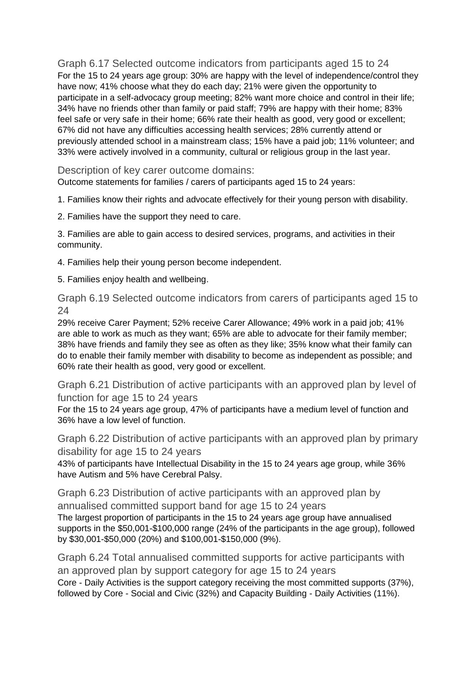Graph 6.17 Selected outcome indicators from participants aged 15 to 24 For the 15 to 24 years age group: 30% are happy with the level of independence/control they have now; 41% choose what they do each day; 21% were given the opportunity to participate in a self-advocacy group meeting; 82% want more choice and control in their life; 34% have no friends other than family or paid staff; 79% are happy with their home; 83% feel safe or very safe in their home; 66% rate their health as good, very good or excellent; 67% did not have any difficulties accessing health services; 28% currently attend or previously attended school in a mainstream class; 15% have a paid job; 11% volunteer; and 33% were actively involved in a community, cultural or religious group in the last year.

Description of key carer outcome domains:

Outcome statements for families / carers of participants aged 15 to 24 years:

1. Families know their rights and advocate effectively for their young person with disability.

2. Families have the support they need to care.

3. Families are able to gain access to desired services, programs, and activities in their community.

4. Families help their young person become independent.

5. Families enjoy health and wellbeing.

Graph 6.19 Selected outcome indicators from carers of participants aged 15 to 24

29% receive Carer Payment; 52% receive Carer Allowance; 49% work in a paid job; 41% are able to work as much as they want; 65% are able to advocate for their family member; 38% have friends and family they see as often as they like; 35% know what their family can do to enable their family member with disability to become as independent as possible; and 60% rate their health as good, very good or excellent.

Graph 6.21 Distribution of active participants with an approved plan by level of function for age 15 to 24 years

For the 15 to 24 years age group, 47% of participants have a medium level of function and 36% have a low level of function.

Graph 6.22 Distribution of active participants with an approved plan by primary disability for age 15 to 24 years

43% of participants have Intellectual Disability in the 15 to 24 years age group, while 36% have Autism and 5% have Cerebral Palsy.

Graph 6.23 Distribution of active participants with an approved plan by annualised committed support band for age 15 to 24 years The largest proportion of participants in the 15 to 24 years age group have annualised supports in the \$50,001-\$100,000 range (24% of the participants in the age group), followed by \$30,001-\$50,000 (20%) and \$100,001-\$150,000 (9%).

Graph 6.24 Total annualised committed supports for active participants with an approved plan by support category for age 15 to 24 years Core - Daily Activities is the support category receiving the most committed supports (37%), followed by Core - Social and Civic (32%) and Capacity Building - Daily Activities (11%).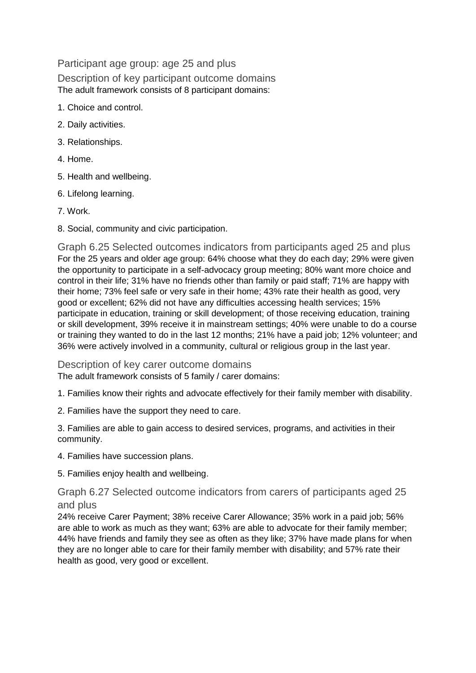Participant age group: age 25 and plus Description of key participant outcome domains The adult framework consists of 8 participant domains:

- 1. Choice and control.
- 2. Daily activities.
- 3. Relationships.
- 4. Home.
- 5. Health and wellbeing.
- 6. Lifelong learning.
- 7. Work.
- 8. Social, community and civic participation.

Graph 6.25 Selected outcomes indicators from participants aged 25 and plus For the 25 years and older age group: 64% choose what they do each day; 29% were given the opportunity to participate in a self-advocacy group meeting; 80% want more choice and control in their life; 31% have no friends other than family or paid staff; 71% are happy with their home; 73% feel safe or very safe in their home; 43% rate their health as good, very good or excellent; 62% did not have any difficulties accessing health services; 15% participate in education, training or skill development; of those receiving education, training or skill development, 39% receive it in mainstream settings; 40% were unable to do a course or training they wanted to do in the last 12 months; 21% have a paid job; 12% volunteer; and 36% were actively involved in a community, cultural or religious group in the last year.

Description of key carer outcome domains The adult framework consists of 5 family / carer domains:

1. Families know their rights and advocate effectively for their family member with disability.

2. Families have the support they need to care.

3. Families are able to gain access to desired services, programs, and activities in their community.

4. Families have succession plans.

5. Families enjoy health and wellbeing.

Graph 6.27 Selected outcome indicators from carers of participants aged 25 and plus

24% receive Carer Payment; 38% receive Carer Allowance; 35% work in a paid job; 56% are able to work as much as they want; 63% are able to advocate for their family member; 44% have friends and family they see as often as they like; 37% have made plans for when they are no longer able to care for their family member with disability; and 57% rate their health as good, very good or excellent.